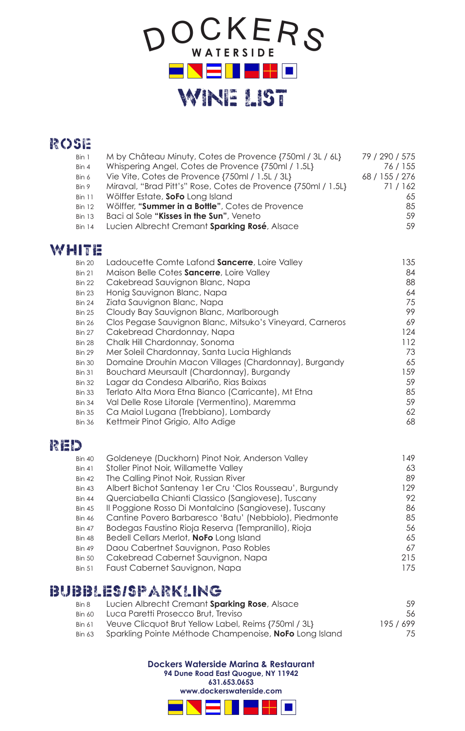

# Rose

| Bin 1         | M by Château Minuty, Cotes de Provence {750ml / 3L / 6L}      | 79 / 290 / 575 |
|---------------|---------------------------------------------------------------|----------------|
| Bin 4         | Whispering Angel, Cotes de Provence {750ml / 1.5L}            | 76 / 155       |
| Bin 6         | Vie Vite, Cotes de Provence {750ml / 1.5L / 3L}               | 68 / 155 / 276 |
| Bin 9         | Miraval, "Brad Pitt's" Rose, Cotes de Provence {750ml / 1.5L} | 71/162         |
| <b>Bin 11</b> | Wölffer Estate, SoFo Long Island                              | 65             |
| <b>Bin 12</b> | Wölffer, "Summer in a Bottle", Cotes de Provence              | 85             |
| <b>Bin 13</b> | Baci al Sole " <b>Kisses in the Sun</b> ", Veneto             | 59             |
| <b>Bin 14</b> | Lucien Albrecht Cremant Sparking Rosé, Alsace                 | .59            |
|               |                                                               |                |

# WHITE

| <b>Bin 20</b> | Ladoucette Comte Lafond Sancerre, Loire Valley            | 135 |
|---------------|-----------------------------------------------------------|-----|
| <b>Bin 21</b> | Maison Belle Cotes Sancerre, Loire Valley                 | 84  |
| <b>Bin 22</b> | Cakebread Sauvignon Blanc, Napa                           | 88  |
| <b>Bin 23</b> | Honig Sauvignon Blanc, Napa                               | 64  |
| <b>Bin 24</b> | Ziata Sauvignon Blanc, Napa                               | 75  |
| <b>Bin 25</b> | Cloudy Bay Sauvignon Blanc, Marlborough                   | 99  |
| <b>Bin 26</b> | Clos Pegase Sauvignon Blanc, Mitsuko's Vineyard, Carneros | 69  |
| <b>Bin 27</b> | Cakebread Chardonnay, Napa                                | 124 |
| <b>Bin 28</b> | Chalk Hill Chardonnay, Sonoma                             | 112 |
| <b>Bin 29</b> | Mer Soleil Chardonnay, Santa Lucia Highlands              | 73  |
| <b>Bin 30</b> | Domaine Drouhin Macon Villages (Chardonnay), Burgandy     | 65  |
| <b>Bin 31</b> | Bouchard Meursault (Chardonnay), Burgandy                 | 159 |
| <b>Bin 32</b> | Lagar da Condesa Albariño, Rias Baixas                    | 59  |
| <b>Bin 33</b> | Terlato Alta Mora Etna Bianco (Carricante), Mt Etna       | 85  |
| <b>Bin 34</b> | Val Delle Rose Litorale (Vermentino), Maremma             | 59  |
| <b>Bin 35</b> | Ca Maiol Lugana (Trebbiano), Lombardy                     | 62  |
| <b>Bin 36</b> | Kettmeir Pinot Grigio, Alto Adige                         | 68  |
|               |                                                           |     |

# RED

| <b>Bin 40</b> | Goldeneye (Duckhorn) Pinot Noir, Anderson Valley          | 149. |
|---------------|-----------------------------------------------------------|------|
| <b>Bin 41</b> | Stoller Pinot Noir, Willamette Valley                     | 63   |
| <b>Bin 42</b> | The Calling Pinot Noir, Russian River                     | 89   |
| <b>Bin 43</b> | Albert Bichot Santenay 1 er Cru 'Clos Rousseau', Burgundy | 129  |
| <b>Bin 44</b> | Querciabella Chianti Classico (Sangiovese), Tuscany       | 92   |
| <b>Bin 45</b> | Il Poggione Rosso Di Montalcino (Sangiovese), Tuscany     | 86   |
| <b>Bin 46</b> | Cantine Povero Barbaresco 'Batu' (Nebbiolo), Piedmonte    | 85   |
| <b>Bin 47</b> | Bodegas Faustino Rioja Reserva (Tempranillo), Rioja       | 56   |
| <b>Bin 48</b> | Bedell Cellars Merlot, NoFo Long Island                   | 65   |
| <b>Bin 49</b> | Daou Cabertnet Sauvignon, Paso Robles                     | 67   |
| <b>Bin 50</b> | Cakebread Cabernet Sauvignon, Napa                        | 215  |
| <b>Bin 51</b> | Faust Cabernet Sauvignon, Napa                            | 175  |
|               |                                                           |      |

# BUBBLES/SPARKLING

| Bin 8         | Lucien Albrecht Cremant Sparking Rose, Alsace          | .59     |
|---------------|--------------------------------------------------------|---------|
| <b>Bin 60</b> | Luca Paretti Prosecco Brut, Treviso                    | .56     |
| <b>Bin 61</b> | Veuve Clicquot Brut Yellow Label, Reims {750ml / 3L}   | 195/699 |
| <b>Bin 63</b> | Sparkling Pointe Méthode Champenoise, NoFo Long Island | 75.     |

**Dockers Waterside Marina & Restaurant**

**94 Dune Road East Quogue, NY 11942**

**631.653.0653 www.dockerswaterside.com** 

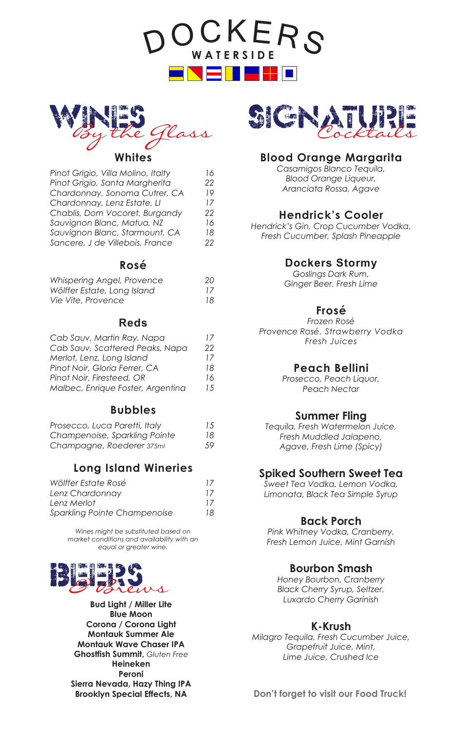DO KERS **W A T E R S I D E** l = 1 



#### **Whites**

| 16 |
|----|
| 22 |
| 19 |
| 17 |
| 22 |
| 16 |
| 18 |
| 22 |
|    |

## **Rosé**

| Whispering Angel, Provence  | 20 |
|-----------------------------|----|
| Wölffer Estate, Long Island | 17 |
| Vie Vite, Provence          | 18 |

## **Reds**

| Cab Sauv, Martin Ray, Napa        | 17 |
|-----------------------------------|----|
| Cab Sauv, Scattered Peaks, Napa   | 22 |
| Merlot, Lenz, Long Island         | 17 |
| Pinot Noir, Gloria Ferrer, CA     | 18 |
| Pinot Noir, Firesteed, OR         | 16 |
| Malbec, Enrique Foster, Argentina | 15 |
|                                   |    |

## **Bubbles**

| Prosecco, Luca Paretti, Italy | 15 |
|-------------------------------|----|
| Champenoise, Sparkling Pointe | 18 |
| Champagne, Roederer 375ml     | 59 |

## **Long Island Wineries**

| Wölffer Estate Rosé          | 17 |
|------------------------------|----|
| Lenz Chardonnay              | 17 |
| Lenz Merlot                  | 17 |
| Sparkling Pointe Champenoise | 18 |

*Wines might be substituted based on market conditions and availability with an equal or greater wine.*



**Bud Light / Miller Lite Blue Moon Corona / Corona Light Montauk Summer Ale Montauk Wave Chaser IPA Ghostfish Summit,** *Gluten Free* **Heineken Peroni Sierra Nevada, Hazy Thing IPA Brooklyn Special Effects, NA**



# **Blood Orange Margarita**

*Casamigos Blanco Tequila, Blood Orange Liqueur, Aranciata Rossa, Agave*

## **Hendrick's Cooler**

*Hendrick's Gin, Crop Cucumber Vodka, Fresh Cucumber, Splash Pineapple*

## **Dockers Stormy**

*Goslings Dark Rum, Ginger Beer, Fresh Lime*

#### **Frosé**

*Frozen Rosé Provence Rosé, Strawberry Vodka Fresh Juices*

#### **Peach Bellini**

*Prosecco, Peach Liquor, Peach Nectar*

#### **Summer Fling**

*Tequila, Fresh Watermelon Juice, Fresh Muddled Jalapeno, Agave, Fresh Lime (Spicy)*

#### **Spiked Southern Sweet Tea**

*Sweet Tea Vodka, Lemon Vodka, Limonata, Black Tea Simple Syrup*

#### **Back Porch**

*Pink Whitney Vodka, Cranberry, Fresh Lemon Juice, Mint Garnish*

#### **Bourbon Smash**

*Honey Bourbon, Cranberry Black Cherry Syrup, Seltzer, Luxardo Cherry Garinish*

#### **K-Krush**

*Milagro Tequila, Fresh Cucumber Juice, Grapefruit Juice, Mint, Lime Juice, Crushed Ice*

**Don't forget to visit our Food Truck!**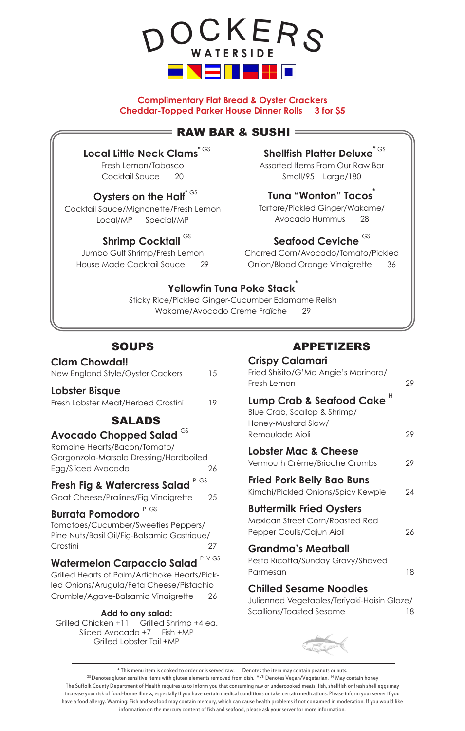

**Complimentary Flat Bread & Oyster Crackers Cheddar-Topped Parker House Dinner Rolls 3 for \$5**

## $=$  RAW BAR & SUSHI  $=$

**Local Little Neck Clams** 

Fresh Lemon/Tabasco Cocktail Sauce 20

## **Oysters on the Half<sup>\* GS</sup>**

Cocktail Sauce/Mignonette/Fresh Lemon Local/MP Special/MP

# **Shrimp Cocktail** GS

Jumbo Gulf Shrimp/Fresh Lemon House Made Cocktail Sauce 29

# **Shellfish Platter Deluxe**

Assorted Items From Our Raw Bar Small/95 Large/180

## **Tuna "Wonton" Tacos\***

Tartare/Pickled Ginger/Wakame/ Avocado Hummus 28

# Seafood Ceviche<sup>GS</sup>

Charred Corn/Avocado/Tomato/Pickled Onion/Blood Orange Vinaigrette 36

# **Yellowfin Tuna Poke Stack\***

Sticky Rice/Pickled Ginger-Cucumber Edamame Relish Wakame/Avocado Crème Fraîche 29

# **SOUPS**

#### **Clam Chowda!!**

| New England Style/Oyster Cackers | 15 |
|----------------------------------|----|
|                                  |    |

#### **Lobster Bisque**

Fresh Lobster Meat/Herbed Crostini 19

# SALADS

## **Avocado Chopped Salad** GS

Romaine Hearts/Bacon/Tomato/ Gorgonzola-Marsala Dressing/Hardboiled Egg/Sliced Avocado 26

# **Fresh Fig & Watercress Salad** P GS

Goat Cheese/Pralines/Fig Vinaigrette 25

# **Burrata Pomodoro** P GS

Tomatoes/Cucumber/Sweeties Peppers/ Pine Nuts/Basil Oil/Fig-Balsamic Gastrique/ Crostini 27

# **Watermelon Carpaccio Salad** P VGS

Grilled Hearts of Palm/Artichoke Hearts/Pickled Onions/Arugula/Feta Cheese/Pistachio Crumble/Agave-Balsamic Vinaigrette 26

#### **Add to any salad:**

Grilled Chicken +11 Grilled Shrimp +4 ea. Sliced Avocado +7 Fish +MP Grilled Lobster Tail +MP

# APPETIZERS

## **Crispy Calamari** Fried Shisito/G'Ma Angie's Marinara/ Fresh Lemon 29 Lump Crab & Seafood Cake<sup>H</sup> Blue Crab, Scallop & Shrimp/ Honey-Mustard Slaw/ Remoulade Aioli 29 **Lobster Mac & Cheese** Vermouth Crème/Brioche Crumbs 29 **Fried Pork Belly Bao Buns** Kimchi/Pickled Onions/Spicy Kewpie 24 **Buttermilk Fried Oysters** Mexican Street Corn/Roasted Red Pepper Coulis/Cajun Aioli 26 **Grandma's Meatball** Pesto Ricotta/Sunday Gravy/Shaved Parmesan 18 **Chilled Sesame Noodles** Julienned Vegetables/Teriyaki-Hoisin Glaze/ Scallions/Toasted Sesame 18



\* This menu item is cooked to order or is served raw. P Denotes the item may contain peanuts or nuts. GS Denotes gluten sensitive items with gluten elements removed from dish. <sup>VVE</sup> Denotes Vegan/Vegetarian. <sup>H</sup> May contain honey The Suffolk County Department of Health requires us to inform you that consuming raw or undercooked meats, fish, shellfish or fresh shell eggs may increase your risk of food-borne illness, especially if you have certain medical conditions or take certain medications. Please inform your server if you have a food allergy. Warning: Fish and seafood may contain mercury, which can cause health problems if not consumed in moderation. If you would like information on the mercury content of fish and seafood, please ask your server for more information.